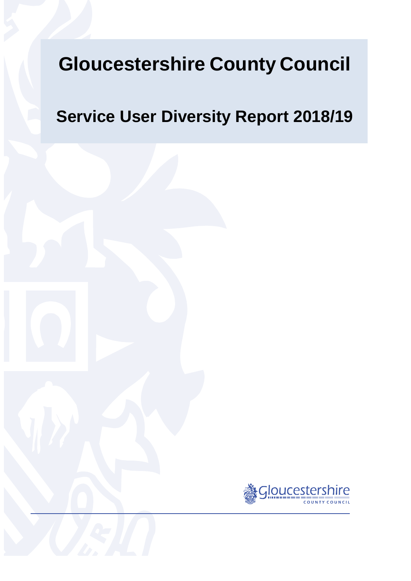# **Gloucestershire County Council**

# **Service User Diversity Report 2018/19**

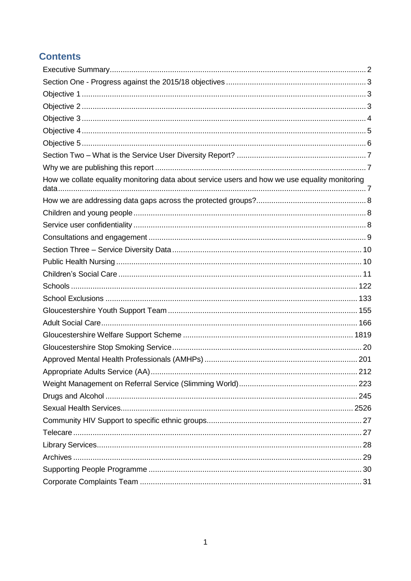# **Contents**

| How we collate equality monitoring data about service users and how we use equality monitoring |  |
|------------------------------------------------------------------------------------------------|--|
|                                                                                                |  |
|                                                                                                |  |
|                                                                                                |  |
|                                                                                                |  |
|                                                                                                |  |
|                                                                                                |  |
|                                                                                                |  |
|                                                                                                |  |
|                                                                                                |  |
|                                                                                                |  |
|                                                                                                |  |
|                                                                                                |  |
|                                                                                                |  |
|                                                                                                |  |
|                                                                                                |  |
|                                                                                                |  |
|                                                                                                |  |
|                                                                                                |  |
|                                                                                                |  |
|                                                                                                |  |
|                                                                                                |  |
|                                                                                                |  |
|                                                                                                |  |
|                                                                                                |  |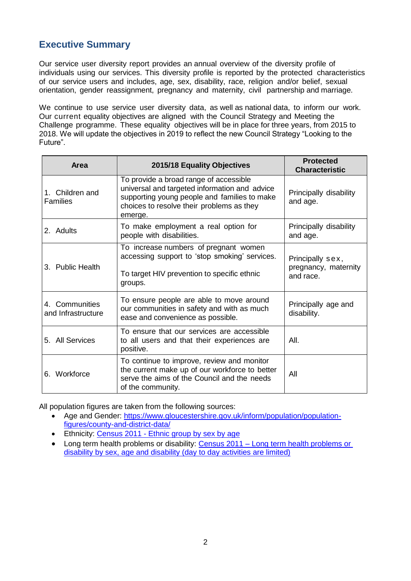# <span id="page-2-0"></span>**Executive Summary**

Our service user diversity report provides an annual overview of the diversity profile of individuals using our services. This diversity profile is reported by the protected characteristics of our service users and includes, age, sex, disability, race, religion and/or belief, sexual orientation, gender reassignment, pregnancy and maternity, civil partnership and marriage.

We continue to use service user diversity data, as well as national data, to inform our work. Our current equality objectives are aligned with the Council Strategy and Meeting the Challenge programme. These equality objectives will be in place for three years, from 2015 to 2018. We will update the objectives in 2019 to reflect the new Council Strategy "Looking to the Future".

| <b>Area</b>                          | 2015/18 Equality Objectives                                                                                                                                                                     | <b>Protected</b><br><b>Characteristic</b>             |
|--------------------------------------|-------------------------------------------------------------------------------------------------------------------------------------------------------------------------------------------------|-------------------------------------------------------|
| 1. Children and<br><b>Families</b>   | To provide a broad range of accessible<br>universal and targeted information and advice<br>supporting young people and families to make<br>choices to resolve their problems as they<br>emerge. | Principally disability<br>and age.                    |
| 2. Adults                            | To make employment a real option for<br>people with disabilities.                                                                                                                               | Principally disability<br>and age.                    |
| 3. Public Health                     | To increase numbers of pregnant women<br>accessing support to 'stop smoking' services.<br>To target HIV prevention to specific ethnic<br>groups.                                                | Principally sex,<br>pregnancy, maternity<br>and race. |
| 4. Communities<br>and Infrastructure | To ensure people are able to move around<br>our communities in safety and with as much<br>ease and convenience as possible.                                                                     | Principally age and<br>disability.                    |
| 5. All Services                      | To ensure that our services are accessible<br>to all users and that their experiences are<br>positive.                                                                                          | AII.                                                  |
| 6. Workforce                         | To continue to improve, review and monitor<br>the current make up of our workforce to better<br>serve the aims of the Council and the needs<br>of the community.                                | All                                                   |

All population figures are taken from the following sources:

- Age and Gender: [https://www.gloucestershire.gov.uk/inform/population/population](https://www.gloucestershire.gov.uk/inform/population/population-figures/county-and-district-data/)[figures/county-and-district-data/](https://www.gloucestershire.gov.uk/inform/population/population-figures/county-and-district-data/)
- Ethnicity: Census 2011 [Ethnic group by sex by age](https://www.nomisweb.co.uk/census/2011/dc2101ew)
- Long term health problems or disability: Census 2011 [Long term health problems or](https://www.nomisweb.co.uk/census/2011/lc3101ewls)  [disability by sex, age and disability](https://www.nomisweb.co.uk/census/2011/lc3101ewls) (day to day activities are limited)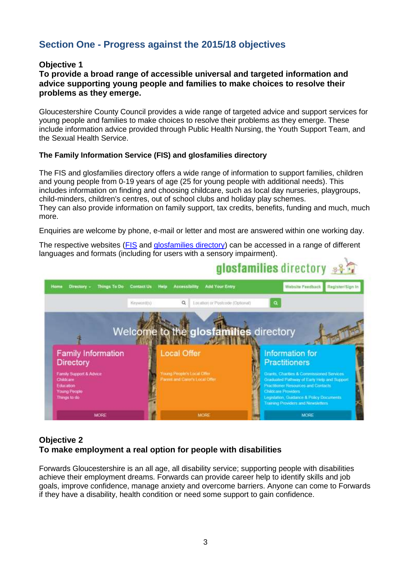# <span id="page-3-0"></span>**Section One - Progress against the 2015/18 objectives**

# <span id="page-3-1"></span>**Objective 1**

# **To provide a broad range of accessible universal and targeted information and advice supporting young people and families to make choices to resolve their problems as they emerge.**

Gloucestershire County Council provides a wide range of targeted advice and support services for young people and families to make choices to resolve their problems as they emerge. These include information advice provided through Public Health Nursing, the Youth Support Team, and the Sexual Health Service.

# **The Family Information Service (FIS) and glosfamilies directory**

The FIS and glosfamilies directory offers a wide range of information to support families, children and young people from 0-19 years of age (25 for young people with additional needs). This includes information on finding and choosing childcare, such as local day nurseries, playgroups, child-minders, children's centres, out of school clubs and holiday play schemes. They can also provide information on family support, tax credits, benefits, funding and much, much more.

Enquiries are welcome by phone, e-mail or letter and most are answered within one working day.

The respective websites [\(FIS](http://www.gloucestershire.gov.uk/health-and-social-care/children-young-people-and-families/family-information-service-fis/) and [glosfamilies directory\)](http://www.glosfamiliesdirectory.org.uk/kb5/gloucs/glosfamilies/home.page) can be accessed in a range of different languages and formats (including for users with a sensory impairment).



# <span id="page-3-2"></span>**Objective 2 To make employment a real option for people with disabilities**

Forwards Gloucestershire is an all age, all disability service; supporting people with disabilities achieve their employment dreams. Forwards can provide career help to identify skills and job goals, improve confidence, manage anxiety and overcome barriers. Anyone can come to Forwards if they have a disability, health condition or need some support to gain confidence.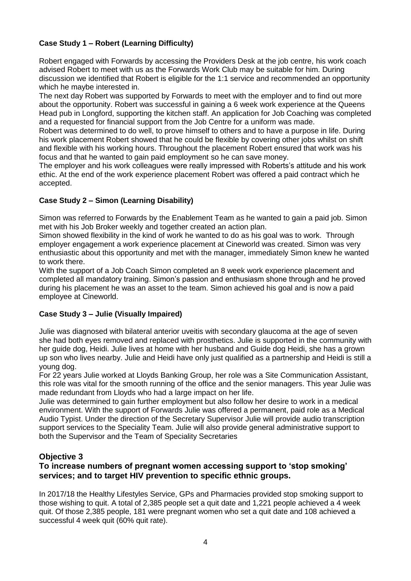# **Case Study 1 – Robert (Learning Difficulty)**

Robert engaged with Forwards by accessing the Providers Desk at the job centre, his work coach advised Robert to meet with us as the Forwards Work Club may be suitable for him. During discussion we identified that Robert is eligible for the 1:1 service and recommended an opportunity which he maybe interested in.

The next day Robert was supported by Forwards to meet with the employer and to find out more about the opportunity. Robert was successful in gaining a 6 week work experience at the Queens Head pub in Longford, supporting the kitchen staff. An application for Job Coaching was completed and a requested for financial support from the Job Centre for a uniform was made.

Robert was determined to do well, to prove himself to others and to have a purpose in life. During his work placement Robert showed that he could be flexible by covering other jobs whilst on shift and flexible with his working hours. Throughout the placement Robert ensured that work was his focus and that he wanted to gain paid employment so he can save money.

The employer and his work colleagues were really impressed with Roberts's attitude and his work ethic. At the end of the work experience placement Robert was offered a paid contract which he accepted.

# **Case Study 2 – Simon (Learning Disability)**

Simon was referred to Forwards by the Enablement Team as he wanted to gain a paid job. Simon met with his Job Broker weekly and together created an action plan.

Simon showed flexibility in the kind of work he wanted to do as his goal was to work. Through employer engagement a work experience placement at Cineworld was created. Simon was very enthusiastic about this opportunity and met with the manager, immediately Simon knew he wanted to work there.

With the support of a Job Coach Simon completed an 8 week work experience placement and completed all mandatory training. Simon's passion and enthusiasm shone through and he proved during his placement he was an asset to the team. Simon achieved his goal and is now a paid employee at Cineworld.

# **Case Study 3 – Julie (Visually Impaired)**

Julie was diagnosed with bilateral anterior uveitis with secondary glaucoma at the age of seven she had both eyes removed and replaced with prosthetics. Julie is supported in the community with her guide dog, Heidi. Julie lives at home with her husband and Guide dog Heidi, she has a grown up son who lives nearby. Julie and Heidi have only just qualified as a partnership and Heidi is still a young dog.

For 22 years Julie worked at Lloyds Banking Group, her role was a Site Communication Assistant, this role was vital for the smooth running of the office and the senior managers. This year Julie was made redundant from Lloyds who had a large impact on her life.

Julie was determined to gain further employment but also follow her desire to work in a medical environment. With the support of Forwards Julie was offered a permanent, paid role as a Medical Audio Typist. Under the direction of the Secretary Supervisor Julie will provide audio transcription support services to the Speciality Team. Julie will also provide general administrative support to both the Supervisor and the Team of Speciality Secretaries

# <span id="page-4-0"></span>**Objective 3**

# **To increase numbers of pregnant women accessing support to 'stop smoking' services; and to target HIV prevention to specific ethnic groups.**

In 2017/18 the Healthy Lifestyles Service, GPs and Pharmacies provided stop smoking support to those wishing to quit. A total of 2,385 people set a quit date and 1,221 people achieved a 4 week quit. Of those 2,385 people, 181 were pregnant women who set a quit date and 108 achieved a successful 4 week quit (60% quit rate).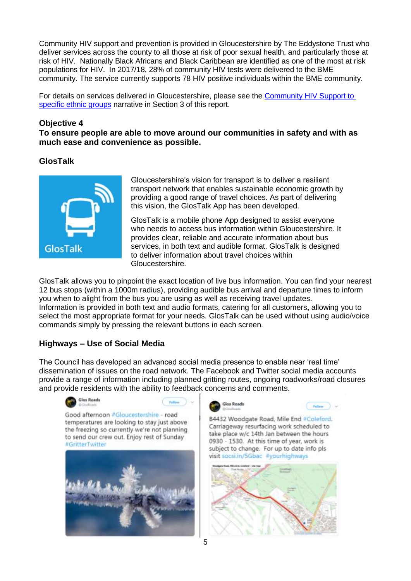Community HIV support and prevention is provided in Gloucestershire by The Eddystone Trust who deliver services across the county to all those at risk of poor sexual health, and particularly those at risk of HIV. Nationally Black Africans and Black Caribbean are identified as one of the most at risk populations for HIV. In 2017/18, 28% of community HIV tests were delivered to the BME community. The service currently supports 78 HIV positive individuals within the BME community.

For details on services delivered in Gloucestershire, please see the [Community HIV Support to](#page-26-0)  [specific ethnic groups](#page-26-0) narrative in Section 3 of this report.

# <span id="page-5-0"></span>**Objective 4**

**To ensure people are able to move around our communities in safety and with as much ease and convenience as possible.**

# **GlosTalk**



Gloucestershire's vision for transport is to deliver a resilient transport network that enables sustainable economic growth by providing a good range of travel choices. As part of delivering this vision, the GlosTalk App has been developed.

GlosTalk is a mobile phone App designed to assist everyone who needs to access bus information within Gloucestershire. It provides clear, reliable and accurate information about bus services, in both text and audible format. GlosTalk is designed to deliver information about travel choices within Gloucestershire.

GlosTalk allows you to pinpoint the exact location of live bus information. You can find your nearest 12 bus stops (within a 1000m radius), providing audible bus arrival and departure times to inform you when to alight from the bus you are using as well as receiving travel updates. Information is provided in both text and audio formats, catering for all customers**,** allowing you to select the most appropriate format for your needs. GlosTalk can be used without using audio/voice commands simply by pressing the relevant buttons in each screen.

# **Highways – Use of Social Media**

The Council has developed an advanced social media presence to enable near 'real time' dissemination of issues on the road network. The Facebook and Twitter social media accounts provide a range of information including planned gritting routes, ongoing roadworks/road closures and provide residents with the ability to feedback concerns and comments.





B4432 Woodgate Road, Mile End #Coleford. Carriageway resurfacing work scheduled to take place w/c 14th Jan between the hours 0930 - 1530. At this time of year, work is subject to change. For up to date info pls visit socsi.in/5Gbac #yourhighways

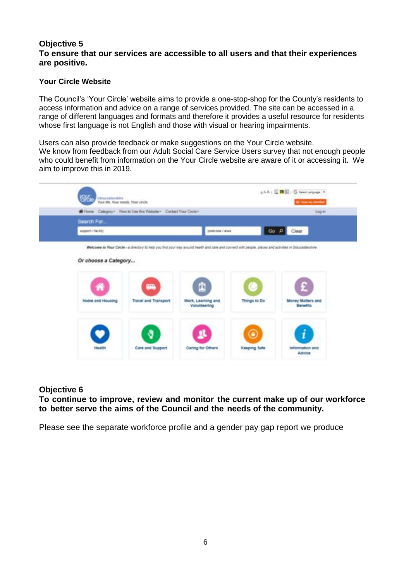# <span id="page-6-0"></span>**Objective 5 To ensure that our services are accessible to all users and that their experiences are positive.**

# **Your Circle Website**

The Council's 'Your Circle' website aims to provide a one-stop-shop for the County's residents to access information and advice on a range of services provided. The site can be accessed in a range of different languages and formats and therefore it provides a useful resource for residents whose first language is not English and those with visual or hearing impairments.

Users can also provide feedback or make suggestions on the Your Circle website. We know from feedback from our Adult Social Care Service Users survey that not enough people who could benefit from information on the Your Circle website are aware of it or accessing it. We aim to improve this in 2019.



# **Objective 6**

**To continue to improve, review and monitor the current make up of our workforce to better serve the aims of the Council and the needs of the community.**

Please see the separate workforce profile and a gender pay gap report we produce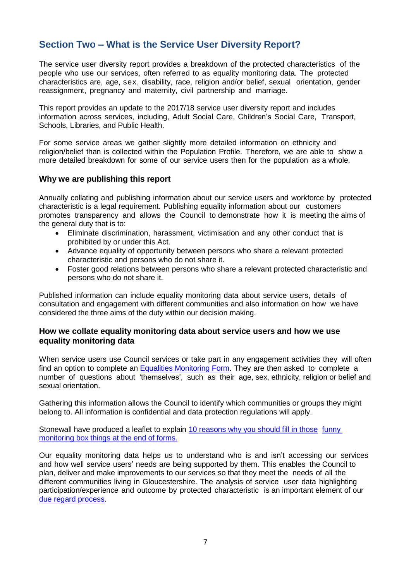# <span id="page-7-0"></span>**Section Two – What is the Service User Diversity Report?**

The service user diversity report provides a breakdown of the protected characteristics of the people who use our services, often referred to as equality monitoring data. The protected characteristics are, age, sex, disability, race, religion and/or belief, sexual orientation, gender reassignment, pregnancy and maternity, civil partnership and marriage.

This report provides an update to the 2017/18 service user diversity report and includes information across services, including, Adult Social Care, Children's Social Care, Transport, Schools, Libraries, and Public Health.

For some service areas we gather slightly more detailed information on ethnicity and religion/belief than is collected within the Population Profile. Therefore, we are able to show a more detailed breakdown for some of our service users then for the population as a whole.

# <span id="page-7-1"></span>**Why we are publishing this report**

Annually collating and publishing information about our service users and workforce by protected characteristic is a legal requirement. Publishing equality information about our customers promotes transparency and allows the Council to demonstrate how it is meeting the aims of the general duty that is to:

- Eliminate discrimination, harassment, victimisation and any other conduct that is prohibited by or under this Act.
- Advance equality of opportunity between persons who share a relevant protected characteristic and persons who do not share it.
- Foster good relations between persons who share a relevant protected characteristic and persons who do not share it.

Published information can include equality monitoring data about service users, details of consultation and engagement with different communities and also information on how we have considered the three aims of the duty within our decision making.

# <span id="page-7-2"></span>**How we collate equality monitoring data about service users and how we use equality monitoring data**

When service users use Council services or take part in any engagement activities they will often find an option to complete an [Equalities Monitoring Form.](https://www.gloucestershire.gov.uk/council-and-democracy/equalities-and-our-duties-under-the-equality-act-2010/equalities-monitoring/) They are then asked to complete a number of questions about 'themselves', such as their age, sex, ethnicity, religion or belief and sexual orientation.

Gathering this information allows the Council to identify which communities or groups they might belong to. All information is confidential and [data protection r](http://www.gloucestershire.gov.uk/dataprotection)egulations will apply.

Stonewall have produced a leaflet to explain [10 reasons](http://www.stonewall.org.uk/sites/default/files/wigtdwy.pdf) why you should fill in those [funny](http://www.stonewall.org.uk/sites/default/files/wigtdwy.pdf) [monitoring](http://www.stonewall.org.uk/sites/default/files/wigtdwy.pdf) box things at the end of forms.

Our equality monitoring data helps us to understand who is and isn't accessing our services and how well service users' needs are being supported by them. This enables the Council to plan, deliver and make improvements to our services so that they meet the needs of all the different communities living in Gloucestershire. The analysis of service user data highlighting participation/experience and outcome by protected characteristic is an important element of our [due regard process.](https://www.gloucestershire.gov.uk/council-and-democracy/equalities-and-our-duties-under-the-equality-act-2010/equalities-decision-making/)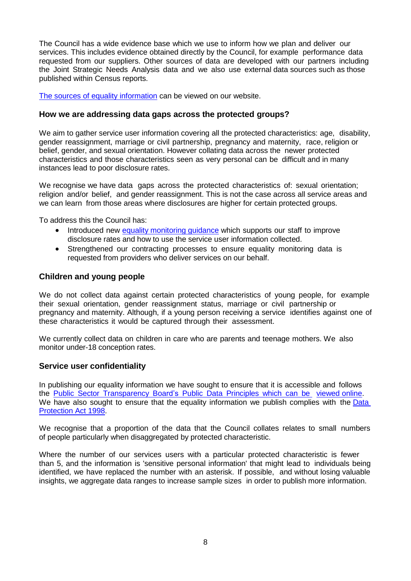The Council has a wide evidence base which we use to inform how we plan and deliver our services. This includes evidence obtained directly by the Council, for example performance data requested from our suppliers. Other sources of data are developed with our partners including the Joint Strategic Needs Analysis data and we also use external data sources such as those published within Census reports.

[The sources of equality information](https://www.gloucestershire.gov.uk/council-and-democracy/equalities-and-our-duties-under-the-equality-act-2010/equality-information-and-analysis/) can be viewed on our website.

# <span id="page-8-0"></span>**How we are addressing data gaps across the protected groups?**

We aim to gather service user information covering all the protected characteristics: age, disability, gender reassignment, marriage or civil partnership, pregnancy and maternity, race, religion or belief, gender, and sexual orientation. However collating data across the newer protected characteristics and those characteristics seen as very personal can be difficult and in many instances lead to poor disclosure rates.

We recognise we have data gaps across the protected characteristics of: sexual orientation: religion and/or belief, and gender reassignment. This is not the case across all service areas and we can learn from those areas where disclosures are higher for certain protected groups.

To address this the Council has:

- Introduced new equality monitoring quidance which supports our staff to improve disclosure rates and how to use the service user information collected.
- Strengthened our contracting processes to ensure equality monitoring data is requested from providers who deliver services on our behalf.

# <span id="page-8-1"></span>**Children and young people**

We do not collect data against certain protected characteristics of young people, for example their sexual orientation, gender reassignment status, marriage or civil partnership or pregnancy and maternity. Although, if a young person receiving a service identifies against one of these characteristics it would be captured through their assessment.

We currently collect data on children in care who are parents and teenage mothers. We also monitor under-18 conception rates.

#### <span id="page-8-2"></span>**Service user confidentiality**

In publishing our equality information we have sought to ensure that it is accessible and follows the Public Sector [Transparency](http://data.gov.uk/library/public-data-principles) Board's Public Data Principles which can be [viewed](http://data.gov.uk/library/public-data-principles) online. We have also sought to ensure that the equality information we publish complies with the [Data](https://www.ico.org.uk/for-organisations/guide-to-data-protection/) [Protection](https://www.ico.org.uk/for-organisations/guide-to-data-protection/) Act 1998.

We recognise that a proportion of the data that the Council collates relates to small numbers of people particularly when disaggregated by protected characteristic.

Where the number of our services users with a particular protected characteristic is fewer than 5, and the information is 'sensitive personal information' that might lead to individuals being identified, we have replaced the number with an asterisk. If possible, and without losing valuable insights, we aggregate data ranges to increase sample sizes in order to publish more information.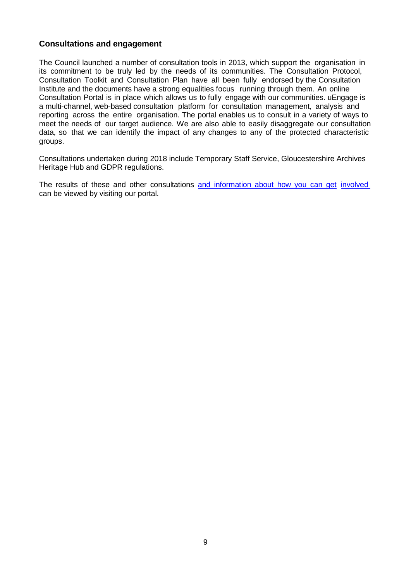# <span id="page-9-0"></span>**Consultations and engagement**

The Council launched a number of consultation tools in 2013, which support the organisation in its commitment to be truly led by the needs of its communities. The Consultation Protocol, Consultation Toolkit and Consultation Plan have all been fully endorsed by the Consultation Institute and the documents have a strong equalities focus running through them. An online Consultation Portal is in place which allows us to fully engage with our communities. uEngage is a multi-channel, web-based consultation platform for consultation management, analysis and reporting across the entire organisation. The portal enables us to consult in a variety of ways to meet the needs of our target audience. We are also able to easily disaggregate our consultation data, so that we can identify the impact of any changes to any of the protected characteristic groups.

Consultations undertaken during 2018 include Temporary Staff Service, Gloucestershire Archives Heritage Hub and GDPR regulations.

The results of these and other consultations and [information](http://gloucestershire-consult.objective.co.uk/) about how you can get [involved](http://gloucestershire-consult.objective.co.uk/) can be viewed by visiting our portal.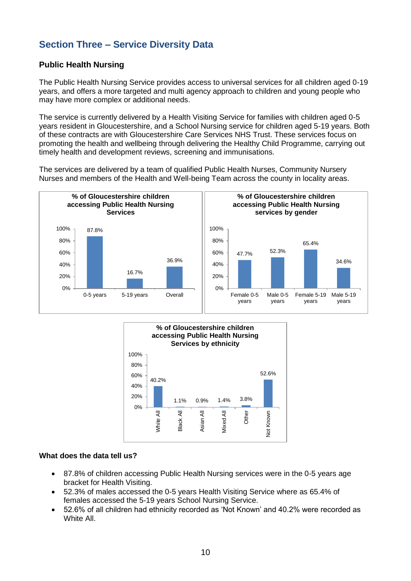# <span id="page-10-0"></span>**Section Three – Service Diversity Data**

# <span id="page-10-1"></span>**Public Health Nursing**

The Public Health Nursing Service provides access to universal services for all children aged 0-19 years, and offers a more targeted and multi agency approach to children and young people who may have more complex or additional needs.

The service is currently delivered by a Health Visiting Service for families with children aged 0-5 years resident in Gloucestershire, and a School Nursing service for children aged 5-19 years. Both of these contracts are with Gloucestershire Care Services NHS Trust. These services focus on promoting the health and wellbeing through delivering the Healthy Child Programme, carrying out timely health and development reviews, screening and immunisations.

The services are delivered by a team of qualified Public Health Nurses, Community Nursery Nurses and members of the Health and Well-being Team across the county in locality areas.





#### **What does the data tell us?**

- 87.8% of children accessing Public Health Nursing services were in the 0-5 years age bracket for Health Visiting.
- 52.3% of males accessed the 0-5 years Health Visiting Service where as 65.4% of females accessed the 5-19 years School Nursing Service.
- <span id="page-10-2"></span> 52.6% of all children had ethnicity recorded as 'Not Known' and 40.2% were recorded as White All.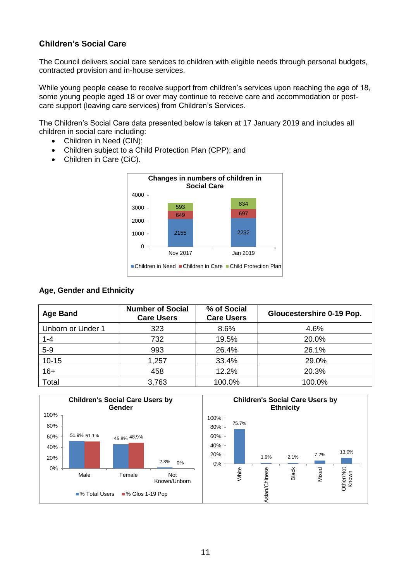# **Children's Social Care**

The Council delivers social care services to children with eligible needs through personal budgets, contracted provision and in-house services.

While young people cease to receive support from children's services upon reaching the age of 18, some young people aged 18 or over may continue to receive care and accommodation or postcare support (leaving care services) from Children's Services.

The Children's Social Care data presented below is taken at 17 January 2019 and includes all children in social care including:

- Children in Need (CIN);
- Children subject to a Child Protection Plan (CPP); and
- Children in Care (CiC).



#### **Age, Gender and Ethnicity**

| <b>Age Band</b>   | <b>Number of Social</b><br><b>Care Users</b> | % of Social<br><b>Care Users</b> | <b>Gloucestershire 0-19 Pop.</b> |
|-------------------|----------------------------------------------|----------------------------------|----------------------------------|
| Unborn or Under 1 | 323                                          | 8.6%                             | 4.6%                             |
| $1 - 4$           | 732                                          | 19.5%                            | 20.0%                            |
| $5-9$             | 993                                          | 26.4%                            | 26.1%                            |
| $10 - 15$         | 1,257                                        | 33.4%                            | 29.0%                            |
| $16+$             | 458                                          | 12.2%                            | 20.3%                            |
| Total             | 3,763                                        | 100.0%                           | 100.0%                           |

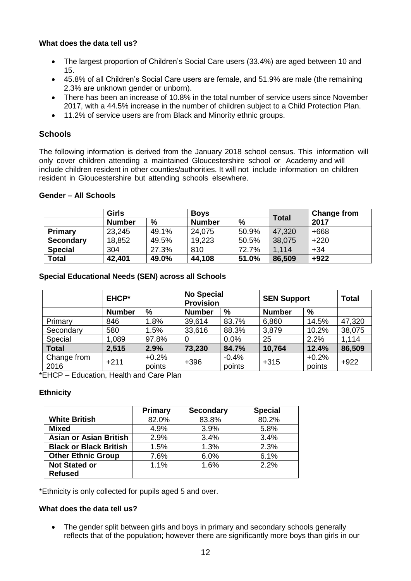- The largest proportion of Children's Social Care users (33.4%) are aged between 10 and 15.
- 45.8% of all Children's Social Care users are female, and 51.9% are male (the remaining 2.3% are unknown gender or unborn).
- There has been an increase of 10.8% in the total number of service users since November 2017, with a 44.5% increase in the number of children subject to a Child Protection Plan.
- 11.2% of service users are from Black and Minority ethnic groups.

# <span id="page-12-0"></span>**Schools**

The following information is derived from the January 2018 school census. This information will only cover children attending a maintained Gloucestershire school or Academy and will include children resident in other counties/authorities. It will not include information on children resident in Gloucestershire but attending schools elsewhere.

#### **Gender – All Schools**

|                  | <b>Girls</b>  |       | <b>Boys</b>   |       | <b>Total</b> | <b>Change from</b> |
|------------------|---------------|-------|---------------|-------|--------------|--------------------|
|                  | <b>Number</b> | $\%$  | <b>Number</b> | %     |              | 2017               |
| Primary          | 23,245        | 49.1% | 24,075        | 50.9% | 47,320       | $+668$             |
| <b>Secondary</b> | 18,852        | 49.5% | 19,223        | 50.5% | 38,075       | $+220$             |
| <b>Special</b>   | 304           | 27.3% | 810           | 72.7% | 1.114        | $+34$              |
| <b>Total</b>     | 42,401        | 49.0% | 44,108        | 51.0% | 86,509       | $+922$             |

# **Special Educational Needs (SEN) across all Schools**

|                     | <b>EHCP*</b>  |                   | <b>No Special</b><br><b>Provision</b> |                   | <b>SEN Support</b> |                   | <b>Total</b> |
|---------------------|---------------|-------------------|---------------------------------------|-------------------|--------------------|-------------------|--------------|
|                     | <b>Number</b> | $\frac{9}{6}$     | <b>Number</b>                         | $\frac{9}{6}$     | <b>Number</b>      | %                 |              |
| Primary             | 846           | 1.8%              | 39,614                                | 83.7%             | 6,860              | 14.5%             | 47,320       |
| Secondary           | 580           | 1.5%              | 33,616                                | 88.3%             | 3,879              | 10.2%             | 38,075       |
| Special             | 1,089         | 97.8%             | $\Omega$                              | 0.0%              | 25                 | 2.2%              | 1,114        |
| <b>Total</b>        | 2,515         | 2.9%              | 73,230                                | 84.7%             | 10,764             | 12.4%             | 86,509       |
| Change from<br>2016 | $+211$        | $+0.2%$<br>points | $+396$                                | $-0.4%$<br>points | $+315$             | $+0.2%$<br>points | $+922$       |

\*EHCP – Education, Health and Care Plan

# **Ethnicity**

|                               | Primary | <b>Secondary</b> | <b>Special</b> |
|-------------------------------|---------|------------------|----------------|
| <b>White British</b>          | 82.0%   | 83.8%            | 80.2%          |
| <b>Mixed</b>                  | 4.9%    | 3.9%             | 5.8%           |
| <b>Asian or Asian British</b> | 2.9%    | 3.4%             | 3.4%           |
| <b>Black or Black British</b> | 1.5%    | 1.3%             | 2.3%           |
| <b>Other Ethnic Group</b>     | 7.6%    | 6.0%             | 6.1%           |
| <b>Not Stated or</b>          | 1.1%    | 1.6%             | 2.2%           |
| <b>Refused</b>                |         |                  |                |

\*Ethnicity is only collected for pupils aged 5 and over.

#### **What does the data tell us?**

 The gender split between girls and boys in primary and secondary schools generally reflects that of the population; however there are significantly more boys than girls in our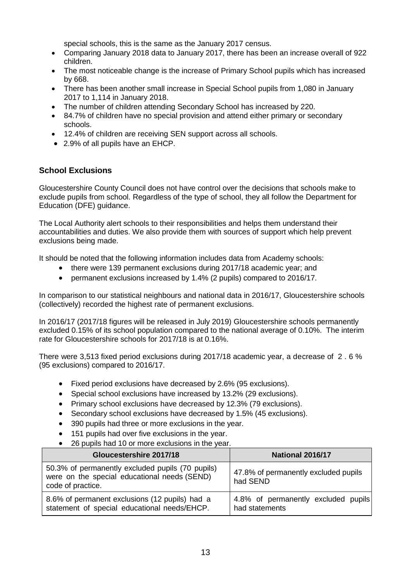special schools, this is the same as the January 2017 census.

- Comparing January 2018 data to January 2017, there has been an increase overall of 922 children.
- The most noticeable change is the increase of Primary School pupils which has increased by 668.
- There has been another small increase in Special School pupils from 1,080 in January 2017 to 1,114 in January 2018.
- The number of children attending Secondary School has increased by 220.
- 84.7% of children have no special provision and attend either primary or secondary schools.
- 12.4% of children are receiving SEN support across all schools.
- 2.9% of all pupils have an EHCP.

# <span id="page-13-0"></span>**School Exclusions**

Gloucestershire County Council does not have control over the decisions that schools make to exclude pupils from school. Regardless of the type of school, they all follow the [Department for](http://www.education.gov.uk/schools/pupilsupport/behaviour/exclusion)  [Education \(DFE\) guidance.](http://www.education.gov.uk/schools/pupilsupport/behaviour/exclusion)

The Local Authority alert schools to their responsibilities and helps them understand their accountabilities and duties. We also provide them with sources of support which help prevent exclusions being made.

It should be noted that the following information includes data from Academy schools:

- there were 139 permanent exclusions during 2017/18 academic year; and
- permanent exclusions increased by 1.4% (2 pupils) compared to 2016/17.

In comparison to our statistical neighbours and national data in 2016/17, Gloucestershire schools (collectively) recorded the highest rate of permanent exclusions.

In 2016/17 (2017/18 figures will be released in July 2019) Gloucestershire schools permanently excluded 0.15% of its school population compared to the national average of 0.10%. The interim rate for Gloucestershire schools for 2017/18 is at 0.16%.

There were 3,513 fixed period exclusions during 2017/18 academic year, a decrease of 2 . 6 % (95 exclusions) compared to 2016/17.

- Fixed period exclusions have decreased by 2.6% (95 exclusions).
- Special school exclusions have increased by 13.2% (29 exclusions).
- Primary school exclusions have decreased by 12.3% (79 exclusions).
- Secondary school exclusions have decreased by 1.5% (45 exclusions).
- 390 pupils had three or more exclusions in the year.
- 151 pupils had over five exclusions in the year.
- 26 pupils had 10 or more exclusions in the year.

| Gloucestershire 2017/18                                                                                               | National 2016/17                                      |
|-----------------------------------------------------------------------------------------------------------------------|-------------------------------------------------------|
| 50.3% of permanently excluded pupils (70 pupils)<br>were on the special educational needs (SEND)<br>code of practice. | 47.8% of permanently excluded pupils<br>had SEND      |
| 8.6% of permanent exclusions (12 pupils) had a<br>statement of special educational needs/EHCP.                        | 4.8% of permanently excluded pupils<br>had statements |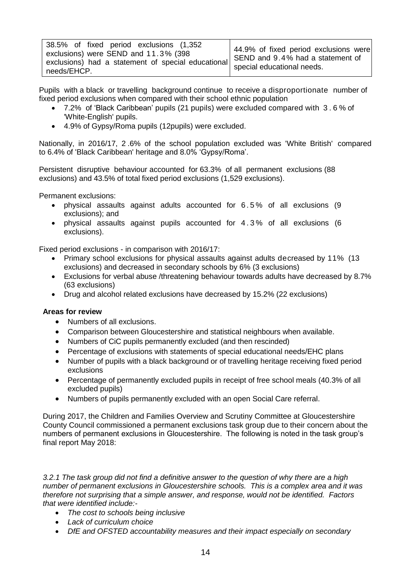Pupils with a black or travelling background continue to receive a disproportionate number of fixed period exclusions when compared with their school ethnic population

- 7.2% of 'Black Caribbean' pupils (21 pupils) were excluded compared with 3 . 6 % of 'White-English' pupils.
- 4.9% of Gypsy/Roma pupils (12pupils) were excluded.

Nationally, in 2016/17, 2 .6% of the school population excluded was 'White British' compared to 6.4% of 'Black Caribbean' heritage and 8.0% 'Gypsy/Roma'.

Persistent disruptive behaviour accounted for 63.3% of all permanent exclusions (88 exclusions) and 43.5% of total fixed period exclusions (1,529 exclusions).

Permanent exclusions:

- physical assaults against adults accounted for 6 . 5 % of all exclusions (9 exclusions); and
- physical assaults against pupils accounted for 4 . 3 % of all exclusions (6 exclusions).

Fixed period exclusions - in comparison with 2016/17:

- Primary school exclusions for physical assaults against adults decreased by 11% (13 exclusions) and decreased in secondary schools by 6% (3 exclusions)
- Exclusions for verbal abuse /threatening behaviour towards adults have decreased by 8.7% (63 exclusions)
- Drug and alcohol related exclusions have decreased by 15.2% (22 exclusions)

#### **Areas for review**

- Numbers of all exclusions.
- Comparison between Gloucestershire and statistical neighbours when available.
- Numbers of CiC pupils permanently excluded (and then rescinded)
- Percentage of exclusions with statements of special educational needs/EHC plans
- Number of pupils with a black background or of travelling heritage receiving fixed period exclusions
- Percentage of permanently excluded pupils in receipt of free school meals (40.3% of all excluded pupils)
- Numbers of pupils permanently excluded with an open Social Care referral.

During 2017, the Children and Families Overview and Scrutiny Committee at Gloucestershire County Council commissioned a permanent exclusions task group due to their concern about the numbers of permanent exclusions in Gloucestershire. The following is noted in the task group's final report May 2018:

*3.2.1 The task group did not find a definitive answer to the question of why there are a high number of permanent exclusions in Gloucestershire schools. This is a complex area and it was therefore not surprising that a simple answer, and response, would not be identified. Factors that were identified include:-*

- *The cost to schools being inclusive*
- *Lack of curriculum choice*
- *DfE and OFSTED accountability measures and their impact especially on secondary*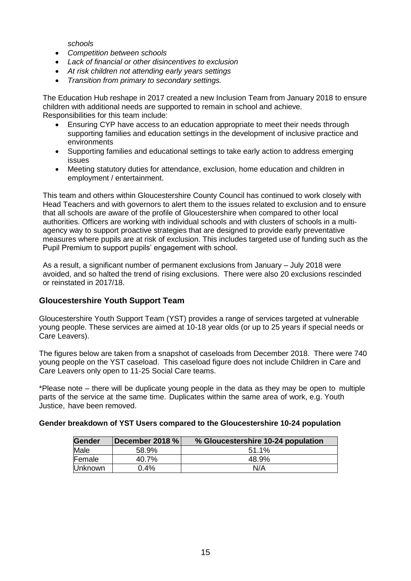*schools*

- *Competition between schools*
- *Lack of financial or other disincentives to exclusion*
- *At risk children not attending early years settings*
- *Transition from primary to secondary settings.*

The Education Hub reshape in 2017 created a new Inclusion Team from January 2018 to ensure children with additional needs are supported to remain in school and achieve. Responsibilities for this team include:

- Ensuring CYP have access to an education appropriate to meet their needs through supporting families and education settings in the development of inclusive practice and environments
- Supporting families and educational settings to take early action to address emerging issues
- Meeting statutory duties for attendance, exclusion, home education and children in employment / entertainment.

This team and others within Gloucestershire County Council has continued to work closely with Head Teachers and with governors to alert them to the issues related to exclusion and to ensure that all schools are aware of the profile of Gloucestershire when compared to other local authorities. Officers are working with individual schools and with clusters of schools in a multiagency way to support proactive strategies that are designed to provide early preventative measures where pupils are at risk of exclusion. This includes targeted use of funding such as the Pupil Premium to support pupils' engagement with school.

As a result, a significant number of permanent exclusions from January – July 2018 were avoided, and so halted the trend of rising exclusions. There were also 20 exclusions rescinded or reinstated in 2017/18.

# <span id="page-15-0"></span>**Gloucestershire Youth Support Team**

Gloucestershire Youth Support Team (YST) provides a range of services targeted at vulnerable young people. These services are aimed at 10-18 year olds (or up to 25 years if special needs or Care Leavers).

The figures below are taken from a snapshot of caseloads from December 2018. There were 740 young people on the YST caseload. This caseload figure does not include Children in Care and Care Leavers only open to 11-25 Social Care teams.

\*Please note – there will be duplicate young people in the data as they may be open to multiple parts of the service at the same time. Duplicates within the same area of work, e.g. Youth Justice, have been removed.

#### **Gender breakdown of YST Users compared to the Gloucestershire 10-24 population**

| <b>Gender</b>  | December 2018 % | % Gloucestershire 10-24 population |
|----------------|-----------------|------------------------------------|
| Male           | 58.9%           | $51.1\%$                           |
| Female         | 40.7%           | 48.9%                              |
| <b>Unknown</b> | $0.4\%$         | N/A                                |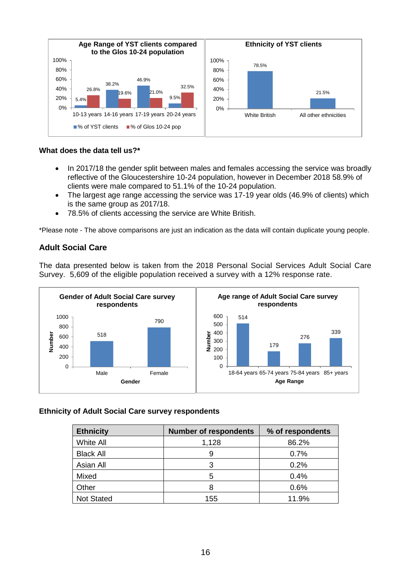

- In 2017/18 the gender split between males and females accessing the service was broadly reflective of the Gloucestershire 10-24 population, however in December 2018 58.9% of clients were male compared to 51.1% of the 10-24 population.
- The largest age range accessing the service was 17-19 year olds (46.9% of clients) which is the same group as 2017/18.
- 78.5% of clients accessing the service are White British.

\*Please note - The above comparisons are just an indication as the data will contain duplicate young people.

# <span id="page-16-0"></span>**Adult Social Care**

The data presented below is taken from the 2018 Personal Social Services Adult Social Care Survey. 5,609 of the eligible population received a survey with a 12% response rate.



#### **Ethnicity of Adult Social Care survey respondents**

| <b>Ethnicity</b>  | <b>Number of respondents</b> | % of respondents |
|-------------------|------------------------------|------------------|
| <b>White All</b>  | 1,128                        | 86.2%            |
| <b>Black All</b>  | 9                            | 0.7%             |
| Asian All         |                              | 0.2%             |
| Mixed             | 5                            | 0.4%             |
| Other             |                              | 0.6%             |
| <b>Not Stated</b> | 155                          | 11.9%            |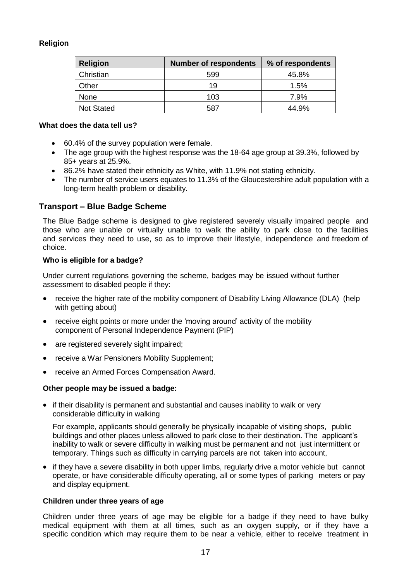# **Religion**

| <b>Religion</b>   | <b>Number of respondents</b> | % of respondents |
|-------------------|------------------------------|------------------|
| Christian         | 599                          | 45.8%            |
| Other             | 19                           | 1.5%             |
| <b>None</b>       | 103                          | 7.9%             |
| <b>Not Stated</b> | 587                          | 44.9%            |

#### **What does the data tell us?**

- 60.4% of the survey population were female.
- The age group with the highest response was the 18-64 age group at 39.3%, followed by 85+ years at 25.9%.
- 86.2% have stated their ethnicity as White, with 11.9% not stating ethnicity.
- The number of service users equates to 11.3% of the Gloucestershire adult population with a long-term health problem or disability.

# **Transport – Blue Badge Scheme**

The Blue Badge scheme is designed to give registered severely visually impaired people and those who are unable or virtually unable to walk the ability to park close to the facilities and services they need to use, so as to improve their lifestyle, independence and freedom of choice.

# **Who is eligible for a badge?**

Under current regulations governing the scheme, badges may be issued without further assessment to disabled people if they:

- receive the higher rate of the mobility component of Disability Living Allowance (DLA) (help with getting about)
- receive eight points or more under the 'moving around' activity of the mobility component of Personal Independence Payment (PIP)
- are registered severely sight impaired;
- receive a War Pensioners Mobility Supplement;
- receive an Armed Forces Compensation Award.

#### **Other people may be issued a badge:**

• if their disability is permanent and substantial and causes inability to walk or very considerable difficulty in walking

For example, applicants should generally be physically incapable of visiting shops, public buildings and other places unless allowed to park close to their destination. The applicant's inability to walk or severe difficulty in walking must be permanent and not just intermittent or temporary. Things such as difficulty in carrying parcels are not taken into account,

• if they have a severe disability in both upper limbs, regularly drive a motor vehicle but cannot operate, or have considerable difficulty operating, all or some types of parking meters or pay and display equipment.

#### **Children under three years of age**

Children under three years of age may be eligible for a badge if they need to have bulky medical equipment with them at all times, such as an oxygen supply, or if they have a specific condition which may require them to be near a vehicle, either to receive treatment in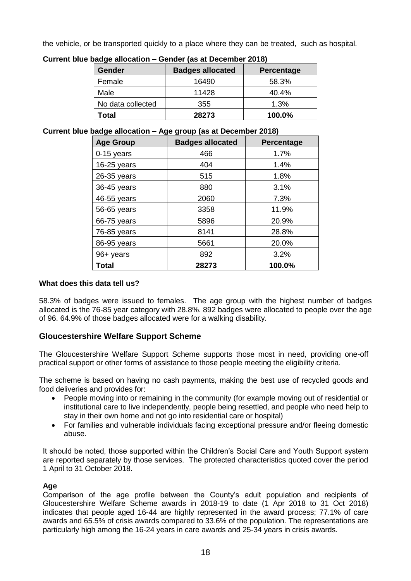the vehicle, or be transported quickly to a place where they can be treated, such as hospital.

| waaqo anooaaon<br><b>OUNGEROUGH DUGGINGE LUIDI</b> |                         |                   |  |  |
|----------------------------------------------------|-------------------------|-------------------|--|--|
| <b>Gender</b>                                      | <b>Badges allocated</b> | <b>Percentage</b> |  |  |
| Female                                             | 16490                   | 58.3%             |  |  |
| Male                                               | 11428                   | 40.4%             |  |  |
| No data collected                                  | 355                     | 1.3%              |  |  |
| Total                                              | 28273                   | 100.0%            |  |  |

**Current blue badge allocation – Gender (as at December 2018)**

**Current blue badge allocation – Age group (as at December 2018)**

| <b>Age Group</b> | <b>Badges allocated</b> | <b>Percentage</b> |
|------------------|-------------------------|-------------------|
| 0-15 years       | 466                     | 1.7%              |
| 16-25 years      | 404                     | 1.4%              |
| 26-35 years      | 515                     | 1.8%              |
| 36-45 years      | 880                     | 3.1%              |
| 46-55 years      | 2060                    | 7.3%              |
| 56-65 years      | 3358                    | 11.9%             |
| 66-75 years      | 5896                    | 20.9%             |
| 76-85 years      | 8141                    | 28.8%             |
| 86-95 years      | 5661                    | 20.0%             |
| 96+ years        | 892                     | 3.2%              |
| <b>Total</b>     | 28273                   | 100.0%            |

# **What does this data tell us?**

58.3% of badges were issued to females. The age group with the highest number of badges allocated is the 76-85 year category with 28.8%. 892 badges were allocated to people over the age of 96. 64.9% of those badges allocated were for a walking disability.

# <span id="page-18-0"></span>**Gloucestershire Welfare Support Scheme**

The Gloucestershire Welfare Support Scheme supports those most in need, providing one-off practical support or other forms of assistance to those people meeting the eligibility criteria.

The scheme is based on having no cash payments, making the best use of recycled goods and food deliveries and provides for:

- People moving into or remaining in the community (for example moving out of residential or institutional care to live independently, people being resettled, and people who need help to stay in their own home and not go into residential care or hospital)
- For families and vulnerable individuals facing exceptional pressure and/or fleeing domestic abuse.

It should be noted, those supported within the Children's Social Care and Youth Support system are reported separately by those services. The protected characteristics quoted cover the period 1 April to 31 October 2018.

# **Age**

Comparison of the age profile between the County's adult population and recipients of Gloucestershire Welfare Scheme awards in 2018-19 to date (1 Apr 2018 to 31 Oct 2018) indicates that people aged 16-44 are highly represented in the award process; 77.1% of care awards and 65.5% of crisis awards compared to 33.6% of the population. The representations are particularly high among the 16-24 years in care awards and 25-34 years in crisis awards.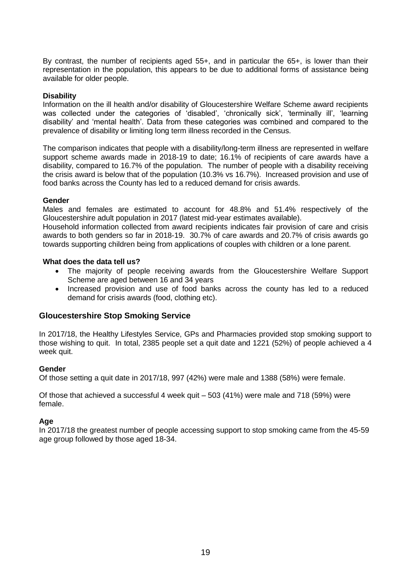By contrast, the number of recipients aged 55+, and in particular the 65+, is lower than their representation in the population, this appears to be due to additional forms of assistance being available for older people.

#### **Disability**

Information on the ill health and/or disability of Gloucestershire Welfare Scheme award recipients was collected under the categories of 'disabled', 'chronically sick', 'terminally ill', 'learning disability' and 'mental health'. Data from these categories was combined and compared to the prevalence of disability or limiting long term illness recorded in the Census.

The comparison indicates that people with a disability/long-term illness are represented in welfare support scheme awards made in 2018-19 to date; 16.1% of recipients of care awards have a disability, compared to 16.7% of the population. The number of people with a disability receiving the crisis award is below that of the population (10.3% vs 16.7%). Increased provision and use of food banks across the County has led to a reduced demand for crisis awards.

#### **Gender**

Males and females are estimated to account for 48.8% and 51.4% respectively of the Gloucestershire adult population in 2017 (latest mid-year estimates available).

Household information collected from award recipients indicates fair provision of care and crisis awards to both genders so far in 2018-19. 30.7% of care awards and 20.7% of crisis awards go towards supporting children being from applications of couples with children or a lone parent.

#### **What does the data tell us?**

- The majority of people receiving awards from the Gloucestershire Welfare Support Scheme are aged between 16 and 34 years
- Increased provision and use of food banks across the county has led to a reduced demand for crisis awards (food, clothing etc).

#### **Gloucestershire Stop Smoking Service**

In 2017/18, the Healthy Lifestyles Service, GPs and Pharmacies provided stop smoking support to those wishing to quit. In total, 2385 people set a quit date and 1221 (52%) of people achieved a 4 week quit.

#### **Gender**

Of those setting a quit date in 2017/18, 997 (42%) were male and 1388 (58%) were female.

Of those that achieved a successful 4 week quit – 503 (41%) were male and 718 (59%) were female.

#### **Age**

In 2017/18 the greatest number of people accessing support to stop smoking came from the 45-59 age group followed by those aged 18-34.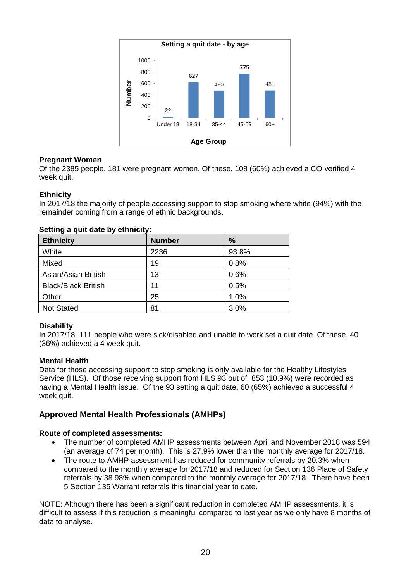

# **Pregnant Women**

Of the 2385 people, 181 were pregnant women. Of these, 108 (60%) achieved a CO verified 4 week quit.

#### **Ethnicity**

In 2017/18 the majority of people accessing support to stop smoking where white (94%) with the remainder coming from a range of ethnic backgrounds.

| <b>Ethnicity</b>           | <b>Number</b> | $\%$  |
|----------------------------|---------------|-------|
| White                      | 2236          | 93.8% |
| Mixed                      | 19            | 0.8%  |
| Asian/Asian British        | 13            | 0.6%  |
| <b>Black/Black British</b> | 11            | 0.5%  |
| Other                      | 25            | 1.0%  |
| <b>Not Stated</b>          | 81            | 3.0%  |

#### **Setting a quit date by ethnicity:**

#### **Disability**

In 2017/18, 111 people who were sick/disabled and unable to work set a quit date. Of these, 40 (36%) achieved a 4 week quit.

#### **Mental Health**

Data for those accessing support to stop smoking is only available for the Healthy Lifestyles Service (HLS). Of those receiving support from HLS 93 out of 853 (10.9%) were recorded as having a Mental Health issue. Of the 93 setting a quit date, 60 (65%) achieved a successful 4 week quit.

# <span id="page-20-0"></span>**Approved Mental Health Professionals (AMHPs)**

#### **Route of completed assessments:**

- The number of completed AMHP assessments between April and November 2018 was 594 (an average of 74 per month). This is 27.9% lower than the monthly average for 2017/18.
- The route to AMHP assessment has reduced for community referrals by 20.3% when compared to the monthly average for 2017/18 and reduced for Section 136 Place of Safety referrals by 38.98% when compared to the monthly average for 2017/18. There have been 5 Section 135 Warrant referrals this financial year to date.

NOTE: Although there has been a significant reduction in completed AMHP assessments, it is difficult to assess if this reduction is meaningful compared to last year as we only have 8 months of data to analyse.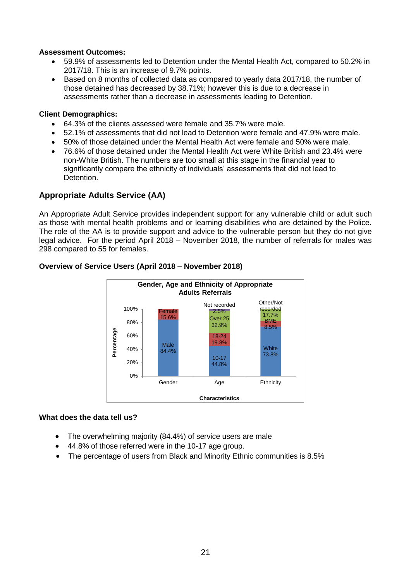#### **Assessment Outcomes:**

- 59.9% of assessments led to Detention under the Mental Health Act, compared to 50.2% in 2017/18. This is an increase of 9.7% points.
- Based on 8 months of collected data as compared to yearly data 2017/18, the number of those detained has decreased by 38.71%; however this is due to a decrease in assessments rather than a decrease in assessments leading to Detention.

#### **Client Demographics:**

- 64.3% of the clients assessed were female and 35.7% were male.
- 52.1% of assessments that did not lead to Detention were female and 47.9% were male.
- 50% of those detained under the Mental Health Act were female and 50% were male.
- 76.6% of those detained under the Mental Health Act were White British and 23.4% were non-White British. The numbers are too small at this stage in the financial year to significantly compare the ethnicity of individuals' assessments that did not lead to Detention.

# <span id="page-21-0"></span>**Appropriate Adults Service (AA)**

An Appropriate Adult Service provides independent support for any vulnerable child or adult such as those with mental health problems and or learning disabilities who are detained by the Police. The role of the AA is to provide support and advice to the vulnerable person but they do not give legal advice. For the period April 2018 – November 2018, the number of referrals for males was 298 compared to 55 for females.



#### **Overview of Service Users (April 2018 – November 2018)**

#### **What does the data tell us?**

- The overwhelming majority (84.4%) of service users are male
- 44.8% of those referred were in the 10-17 age group.
- <span id="page-21-1"></span>• The percentage of users from Black and Minority Ethnic communities is 8.5%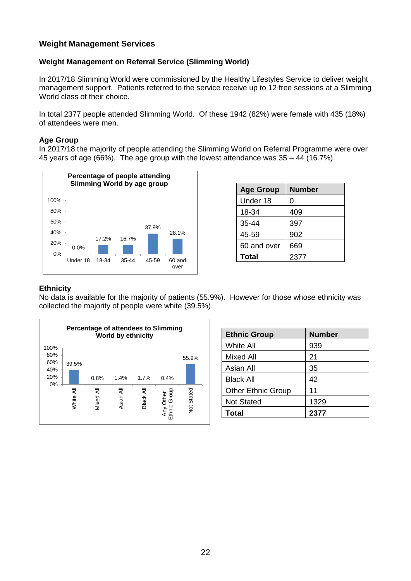# **Weight Management Services**

# **Weight Management on Referral Service (Slimming World)**

In 2017/18 Slimming World were commissioned by the Healthy Lifestyles Service to deliver weight management support. Patients referred to the service receive up to 12 free sessions at a Slimming World class of their choice.

In total 2377 people attended Slimming World. Of these 1942 (82%) were female with 435 (18%) of attendees were men.

#### **Age Group**

In 2017/18 the majority of people attending the Slimming World on Referral Programme were over 45 years of age (66%). The age group with the lowest attendance was 35 – 44 (16.7%).



| <b>Age Group</b> | <b>Number</b> |
|------------------|---------------|
| Under 18         | 0             |
| 18-34            | 409           |
| 35-44            | 397           |
| 45-59            | 902           |
| 60 and over      | 669           |
| Total            | 2377          |

#### **Ethnicity**

No data is available for the majority of patients (55.9%). However for those whose ethnicity was collected the majority of people were white (39.5%).



| <b>Ethnic Group</b>       | <b>Number</b> |
|---------------------------|---------------|
| <b>White All</b>          | 939           |
| Mixed All                 | 21            |
| Asian All                 | 35            |
| <b>Black All</b>          | 42            |
| <b>Other Ethnic Group</b> | 11            |
| <b>Not Stated</b>         | 1329          |
| Total                     | 2377          |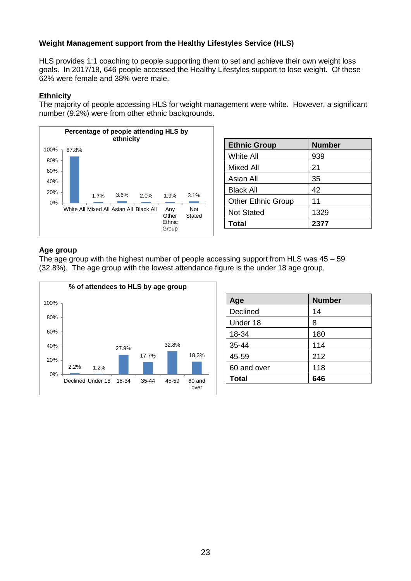# **Weight Management support from the Healthy Lifestyles Service (HLS)**

HLS provides 1:1 coaching to people supporting them to set and achieve their own weight loss goals. In 2017/18, 646 people accessed the Healthy Lifestyles support to lose weight. Of these 62% were female and 38% were male.

# **Ethnicity**

The majority of people accessing HLS for weight management were white. However, a significant number (9.2%) were from other ethnic backgrounds.



| <b>Ethnic Group</b>       | <b>Number</b> |
|---------------------------|---------------|
| White All                 | 939           |
| Mixed All                 | 21            |
| Asian All                 | 35            |
| <b>Black All</b>          | 42            |
| <b>Other Ethnic Group</b> | 11            |
| <b>Not Stated</b>         | 1329          |
| Total                     | 2377          |

#### **Age group**

The age group with the highest number of people accessing support from HLS was 45 – 59 (32.8%). The age group with the lowest attendance figure is the under 18 age group.

<span id="page-23-0"></span>

| Age          | <b>Number</b> |
|--------------|---------------|
| Declined     | 14            |
| Under 18     | 8             |
| 18-34        | 180           |
| 35-44        | 114           |
| 45-59        | 212           |
| 60 and over  | 118           |
| <b>Total</b> | 646           |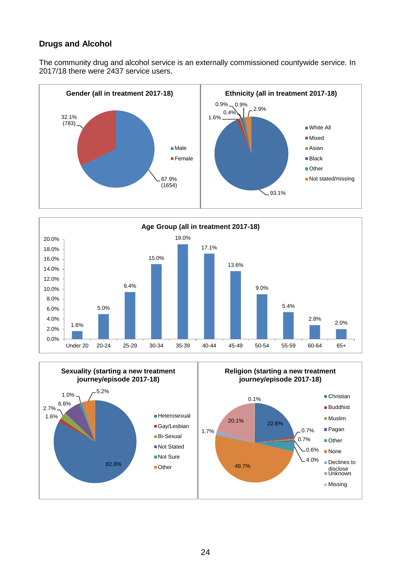# **Drugs and Alcohol**

The community drug and alcohol service is an externally commissioned countywide service. In 2017/18 there were 2437 service users.





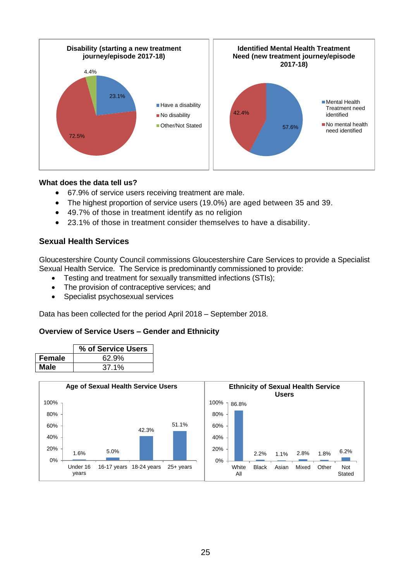

- 67.9% of service users receiving treatment are male.
- The highest proportion of service users (19.0%) are aged between 35 and 39.
- 49.7% of those in treatment identify as no religion
- <span id="page-25-0"></span>23.1% of those in treatment consider themselves to have a disability.

# **Sexual Health Services**

Gloucestershire County Council commissions Gloucestershire Care Services to provide a Specialist Sexual Health Service. The Service is predominantly commissioned to provide:

- Testing and treatment for sexually transmitted infections (STIs);
- The provision of contraceptive services; and
- Specialist psychosexual services

Data has been collected for the period April 2018 – September 2018.

#### **Overview of Service Users – Gender and Ethnicity**

|        | % of Service Users |
|--------|--------------------|
| Female | 62.9%              |
| Male   | 37.1%              |

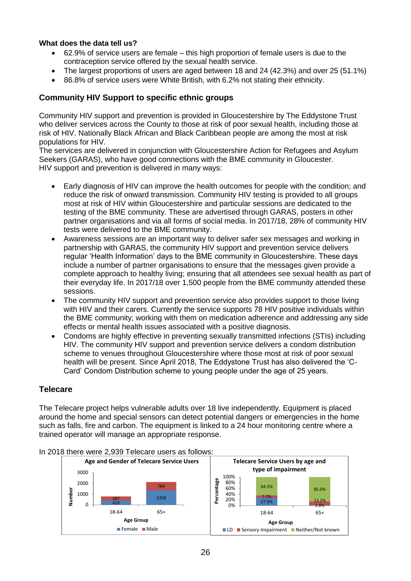- 62.9% of service users are female this high proportion of female users is due to the contraception service offered by the sexual health service.
- The largest proportions of users are aged between 18 and 24 (42.3%) and over 25 (51.1%)
- 86.8% of service users were White British, with 6.2% not stating their ethnicity.

# <span id="page-26-0"></span>**Community HIV Support to specific ethnic groups**

Community HIV support and prevention is provided in Gloucestershire by The Eddystone Trust who deliver services across the County to those at risk of poor sexual health, including those at risk of HIV. Nationally Black African and Black Caribbean people are among the most at risk populations for HIV.

The services are delivered in conjunction with Gloucestershire Action for Refugees and Asylum Seekers (GARAS), who have good connections with the BME community in Gloucester. HIV support and prevention is delivered in many ways:

- Early diagnosis of HIV can improve the health outcomes for people with the condition; and reduce the risk of onward transmission. Community HIV testing is provided to all groups most at risk of HIV within Gloucestershire and particular sessions are dedicated to the testing of the BME community. These are advertised through GARAS, posters in other partner organisations and via all forms of social media. In 2017/18, 28% of community HIV tests were delivered to the BME community.
- Awareness sessions are an important way to deliver safer sex messages and working in partnership with GARAS, the community HIV support and prevention service delivers regular 'Health Information' days to the BME community in Gloucestershire. These days include a number of partner organisations to ensure that the messages given provide a complete approach to healthy living; ensuring that all attendees see sexual health as part of their everyday life. In 2017/18 over 1,500 people from the BME community attended these sessions.
- The community HIV support and prevention service also provides support to those living with HIV and their carers. Currently the service supports 78 HIV positive individuals within the BME community; working with them on medication adherence and addressing any side effects or mental health issues associated with a positive diagnosis.
- Condoms are highly effective in preventing sexually transmitted infections (STIs) including HIV. The community HIV support and prevention service delivers a condom distribution scheme to venues throughout Gloucestershire where those most at risk of poor sexual health will be present. Since April 2018, The Eddystone Trust has also delivered the 'C-Card' Condom Distribution scheme to young people under the age of 25 years.

#### <span id="page-26-1"></span>**Telecare**

The Telecare project helps vulnerable adults over 18 live independently. Equipment is placed around the home and special sensors can detect potential dangers or emergencies in the home such as falls, fire and carbon. The equipment is linked to a 24 hour monitoring centre where a trained operator will manage an appropriate response.



#### In 2018 there were 2,939 Telecare users as follows: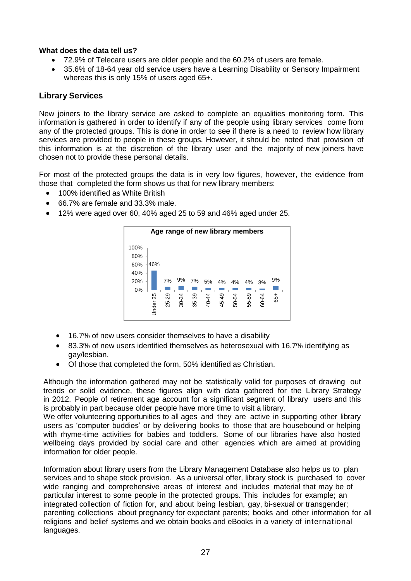- 72.9% of Telecare users are older people and the 60.2% of users are female.
- 35.6% of 18-64 year old service users have a Learning Disability or Sensory Impairment whereas this is only 15% of users aged 65+.

# <span id="page-27-0"></span>**Library Services**

New joiners to the library service are asked to complete an equalities monitoring form. This information is gathered in order to identify if any of the people using library services come from any of the protected groups. This is done in order to see if there is a need to review how library services are provided to people in these groups. However, it should be noted that provision of this information is at the discretion of the library user and the majority of new joiners have chosen not to provide these personal details.

For most of the protected groups the data is in very low figures, however, the evidence from those that completed the form shows us that for new library members:

- 100% identified as White British
- 66.7% are female and 33.3% male.
- 12% were aged over 60, 40% aged 25 to 59 and 46% aged under 25.



- 16.7% of new users consider themselves to have a disability
- 83.3% of new users identified themselves as heterosexual with 16.7% identifying as gay/lesbian.
- Of those that completed the form, 50% identified as Christian.

Although the information gathered may not be statistically valid for purposes of drawing out trends or solid evidence, these figures align with data gathered for the Library Strategy in 2012. People of retirement age account for a significant segment of library users and this is probably in part because older people have more time to visit a library.

We offer volunteering opportunities to all ages and they are active in supporting other library users as 'computer buddies' or by delivering books to those that are housebound or helping with rhyme-time activities for babies and toddlers. Some of our libraries have also hosted wellbeing days provided by social care and other agencies which are aimed at providing information for older people.

Information about library users from the Library Management Database also helps us to plan services and to shape stock provision. As a universal offer, library stock is purchased to cover wide ranging and comprehensive areas of interest and includes material that may be of particular interest to some people in the protected groups. This includes for example; an integrated collection of fiction for, and about being lesbian, gay, bi-sexual or transgender; parenting collections about pregnancy for expectant parents; books and other information for all religions and belief systems and we obtain books and eBooks in a variety of international languages.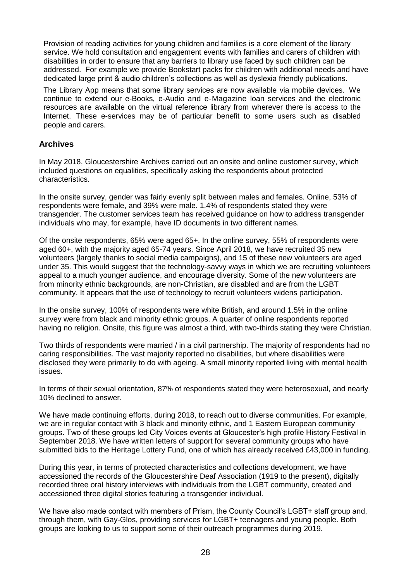Provision of reading activities for young children and families is a core element of the library service. We hold consultation and engagement events with families and carers of children with disabilities in order to ensure that any barriers to library use faced by such children can be addressed. For example we provide Bookstart packs for children with additional needs and have dedicated large print & audio children's collections as well as dyslexia friendly publications.

The Library App means that some library services are now available via mobile devices. We continue to extend our e-Books, e-Audio and e-Magazine loan services and the electronic resources are available on the virtual reference library from wherever there is access to the Internet. These e-services may be of particular benefit to some users such as disabled people and carers.

# <span id="page-28-0"></span>**Archives**

In May 2018, Gloucestershire Archives carried out an onsite and online customer survey, which included questions on equalities, specifically asking the respondents about protected characteristics.

In the onsite survey, gender was fairly evenly split between males and females. Online, 53% of respondents were female, and 39% were male. 1.4% of respondents stated they were transgender. The customer services team has received guidance on how to address transgender individuals who may, for example, have ID documents in two different names.

Of the onsite respondents, 65% were aged 65+. In the online survey, 55% of respondents were aged 60+, with the majority aged 65-74 years. Since April 2018, we have recruited 35 new volunteers (largely thanks to social media campaigns), and 15 of these new volunteers are aged under 35. This would suggest that the technology-savvy ways in which we are recruiting volunteers appeal to a much younger audience, and encourage diversity. Some of the new volunteers are from minority ethnic backgrounds, are non-Christian, are disabled and are from the LGBT community. It appears that the use of technology to recruit volunteers widens participation.

In the onsite survey, 100% of respondents were white British, and around 1.5% in the online survey were from black and minority ethnic groups. A quarter of online respondents reported having no religion. Onsite, this figure was almost a third, with two-thirds stating they were Christian.

Two thirds of respondents were married / in a civil partnership. The majority of respondents had no caring responsibilities. The vast majority reported no disabilities, but where disabilities were disclosed they were primarily to do with ageing. A small minority reported living with mental health issues.

In terms of their sexual orientation, 87% of respondents stated they were heterosexual, and nearly 10% declined to answer.

We have made continuing efforts, during 2018, to reach out to diverse communities. For example, we are in regular contact with 3 black and minority ethnic, and 1 Eastern European community groups. Two of these groups led City Voices events at Gloucester's high profile History Festival in September 2018. We have written letters of support for several community groups who have submitted bids to the Heritage Lottery Fund, one of which has already received £43,000 in funding.

During this year, in terms of protected characteristics and collections development, we have accessioned the records of the Gloucestershire Deaf Association (1919 to the present), digitally recorded three oral history interviews with individuals from the LGBT community, created and accessioned three digital stories featuring a transgender individual.

We have also made contact with members of Prism, the County Council's LGBT+ staff group and, through them, with Gay-Glos, providing services for LGBT+ teenagers and young people. Both groups are looking to us to support some of their outreach programmes during 2019.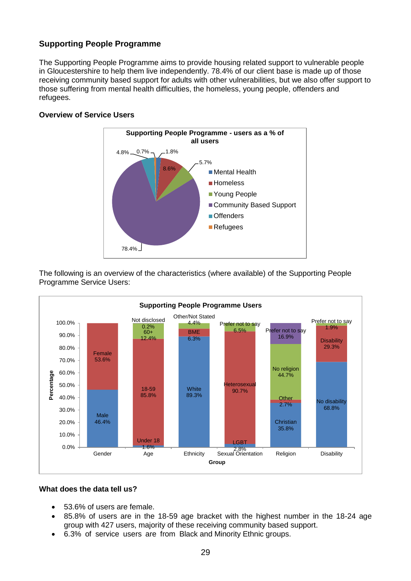# <span id="page-29-0"></span>**Supporting People Programme**

The Supporting People Programme aims to provide housing related support to vulnerable people in Gloucestershire to help them live independently. 78.4% of our client base is made up of those receiving community based support for adults with other vulnerabilities, but we also offer support to those suffering from mental health difficulties, the homeless, young people, offenders and refugees.

# **Overview of Service Users**



The following is an overview of the characteristics (where available) of the Supporting People Programme Service Users:



#### **What does the data tell us?**

- 53.6% of users are female.
- 85.8% of users are in the 18-59 age bracket with the highest number in the 18-24 age group with 427 users, majority of these receiving community based support.
- 6.3% of service users are from Black and Minority Ethnic groups.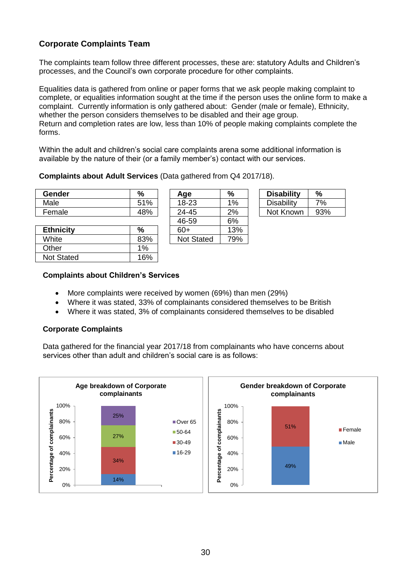# <span id="page-30-0"></span>**Corporate Complaints Team**

The complaints team follow three different processes, these are: statutory Adults and Children's processes, and the Council's own corporate procedure for other complaints.

Equalities data is gathered from online or paper forms that we ask people making complaint to complete, or equalities information sought at the time if the person uses the online form to make a complaint. Currently information is only gathered about: Gender (male or female), Ethnicity, whether the person considers themselves to be disabled and their age group. Return and completion rates are low, less than 10% of people making complaints complete the forms.

Within the adult and children's social care complaints arena some additional information is available by the nature of their (or a family member's) contact with our services.

#### **Complaints about Adult Services** (Data gathered from Q4 2017/18).

| Gender | $\frac{0}{0}$ | Age           | %      | <b>Disability</b> | %   |
|--------|---------------|---------------|--------|-------------------|-----|
| Male   | 51%           | 18-23         | 1%     | Disability        | 7%  |
| Female | 48%           | 24-45         | 2%     | Not Known         | 93% |
|        |               | $\sim$ $\sim$ | $\sim$ |                   |     |

| <b>Ethnicity</b>  | %     | 60+               | 13% |
|-------------------|-------|-------------------|-----|
| White             | 83%   | <b>Not Stated</b> | 79% |
| Other             | $1\%$ |                   |     |
| <b>Not Stated</b> | 16%   |                   |     |
|                   |       |                   |     |

| nyc               | m     |
|-------------------|-------|
| 18-23             | $1\%$ |
| 24-45             | 2%    |
| 46-59             | 6%    |
| $60+$             | 13%   |
| <b>Not Stated</b> | 79%   |
|                   |       |

| <b>Disability</b> | $\%$ |
|-------------------|------|
| Disability        | 7%   |
| Not Known         | 93%  |

#### **Complaints about Children's Services**

- More complaints were received by women (69%) than men (29%)
- Where it was stated, 33% of complainants considered themselves to be British
- Where it was stated, 3% of complainants considered themselves to be disabled

# **Corporate Complaints**

Data gathered for the financial year 2017/18 from complainants who have concerns about services other than adult and children's social care is as follows: